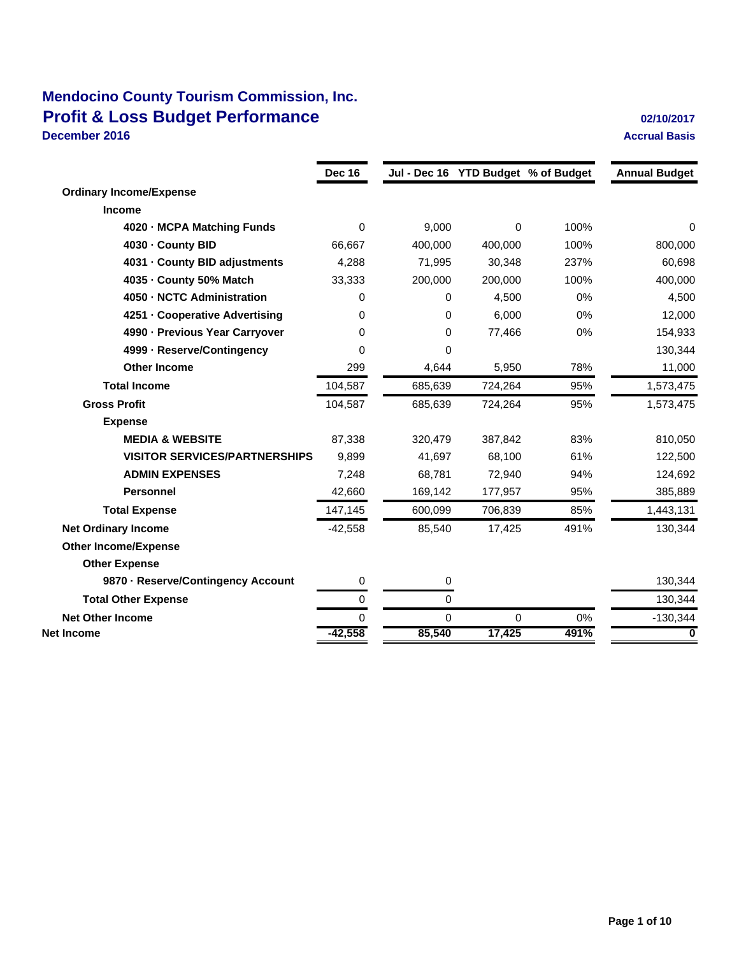### **Mendocino County Tourism Commission, Inc. Profit & Loss Budget Performance Discussed Algebra 202/10/2017 December 2016 Accrual Basis**

|                                      | <b>Dec 16</b> |         |          | Jul - Dec 16 YTD Budget % of Budget | <b>Annual Budget</b> |
|--------------------------------------|---------------|---------|----------|-------------------------------------|----------------------|
| <b>Ordinary Income/Expense</b>       |               |         |          |                                     |                      |
| <b>Income</b>                        |               |         |          |                                     |                      |
| 4020 - MCPA Matching Funds           | $\Omega$      | 9,000   | $\Omega$ | 100%                                | 0                    |
| 4030 - County BID                    | 66,667        | 400,000 | 400,000  | 100%                                | 800,000              |
| 4031 County BID adjustments          | 4,288         | 71,995  | 30,348   | 237%                                | 60,698               |
| 4035 - County 50% Match              | 33,333        | 200,000 | 200,000  | 100%                                | 400,000              |
| 4050 - NCTC Administration           | 0             | 0       | 4,500    | 0%                                  | 4,500                |
| 4251 - Cooperative Advertising       | 0             | 0       | 6,000    | 0%                                  | 12,000               |
| 4990 - Previous Year Carryover       | 0             | 0       | 77,466   | 0%                                  | 154,933              |
| 4999 - Reserve/Contingency           | 0             | 0       |          |                                     | 130,344              |
| <b>Other Income</b>                  | 299           | 4,644   | 5,950    | 78%                                 | 11,000               |
| <b>Total Income</b>                  | 104,587       | 685,639 | 724,264  | 95%                                 | 1,573,475            |
| <b>Gross Profit</b>                  | 104,587       | 685,639 | 724,264  | 95%                                 | 1,573,475            |
| <b>Expense</b>                       |               |         |          |                                     |                      |
| <b>MEDIA &amp; WEBSITE</b>           | 87,338        | 320,479 | 387,842  | 83%                                 | 810,050              |
| <b>VISITOR SERVICES/PARTNERSHIPS</b> | 9,899         | 41,697  | 68,100   | 61%                                 | 122,500              |
| <b>ADMIN EXPENSES</b>                | 7,248         | 68,781  | 72,940   | 94%                                 | 124,692              |
| <b>Personnel</b>                     | 42,660        | 169,142 | 177,957  | 95%                                 | 385,889              |
| <b>Total Expense</b>                 | 147,145       | 600,099 | 706,839  | 85%                                 | 1,443,131            |
| <b>Net Ordinary Income</b>           | $-42,558$     | 85,540  | 17,425   | 491%                                | 130,344              |
| <b>Other Income/Expense</b>          |               |         |          |                                     |                      |
| <b>Other Expense</b>                 |               |         |          |                                     |                      |
| 9870 Reserve/Contingency Account     | 0             | 0       |          |                                     | 130,344              |
| <b>Total Other Expense</b>           | 0             | 0       |          |                                     | 130,344              |

**Net Other Income 6 0 0 0 0 0 0 0 0 0 0 0 0 0 130,344 Net Income -42,558 85,540 17,425 491% 0**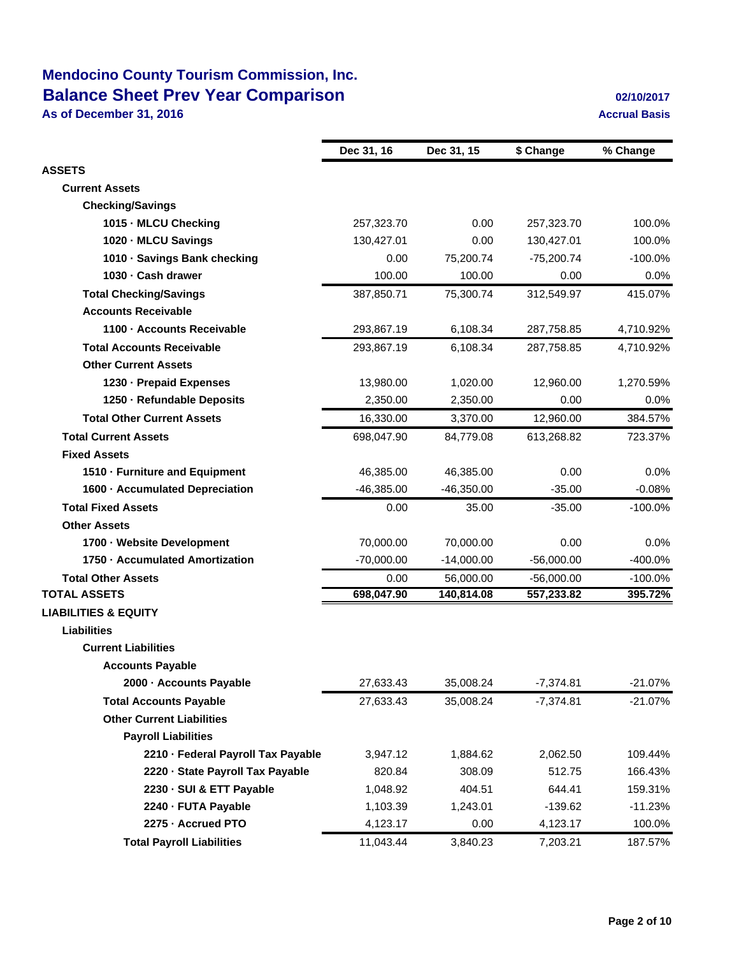## **Mendocino County Tourism Commission, Inc. Balance Sheet Prev Year Comparison 1989 12:10:2017 02/10/2017**

**As of December 31, 2016 Accrual Basis Accrual Basis** 

|                                    | Dec 31, 16   | Dec 31, 15   | \$ Change    | % Change  |
|------------------------------------|--------------|--------------|--------------|-----------|
| <b>ASSETS</b>                      |              |              |              |           |
| <b>Current Assets</b>              |              |              |              |           |
| <b>Checking/Savings</b>            |              |              |              |           |
| 1015 - MLCU Checking               | 257,323.70   | 0.00         | 257,323.70   | 100.0%    |
| 1020 MLCU Savings                  | 130,427.01   | 0.00         | 130,427.01   | 100.0%    |
| 1010 Savings Bank checking         | 0.00         | 75,200.74    | $-75,200.74$ | $-100.0%$ |
| 1030 Cash drawer                   | 100.00       | 100.00       | 0.00         | 0.0%      |
| <b>Total Checking/Savings</b>      | 387,850.71   | 75,300.74    | 312,549.97   | 415.07%   |
| <b>Accounts Receivable</b>         |              |              |              |           |
| 1100 Accounts Receivable           | 293,867.19   | 6,108.34     | 287,758.85   | 4,710.92% |
| <b>Total Accounts Receivable</b>   | 293,867.19   | 6,108.34     | 287,758.85   | 4,710.92% |
| <b>Other Current Assets</b>        |              |              |              |           |
| 1230 - Prepaid Expenses            | 13,980.00    | 1,020.00     | 12,960.00    | 1,270.59% |
| 1250 - Refundable Deposits         | 2,350.00     | 2,350.00     | 0.00         | $0.0\%$   |
| <b>Total Other Current Assets</b>  | 16,330.00    | 3,370.00     | 12,960.00    | 384.57%   |
| <b>Total Current Assets</b>        | 698,047.90   | 84,779.08    | 613,268.82   | 723.37%   |
| <b>Fixed Assets</b>                |              |              |              |           |
| 1510 - Furniture and Equipment     | 46,385.00    | 46,385.00    | 0.00         | 0.0%      |
| 1600 - Accumulated Depreciation    | $-46,385.00$ | $-46,350.00$ | $-35.00$     | $-0.08%$  |
| <b>Total Fixed Assets</b>          | 0.00         | 35.00        | $-35.00$     | $-100.0%$ |
| <b>Other Assets</b>                |              |              |              |           |
| 1700 - Website Development         | 70,000.00    | 70,000.00    | 0.00         | 0.0%      |
| 1750 - Accumulated Amortization    | $-70,000.00$ | $-14,000.00$ | $-56,000.00$ | -400.0%   |
| <b>Total Other Assets</b>          | 0.00         | 56,000.00    | $-56,000.00$ | $-100.0%$ |
| <b>TOTAL ASSETS</b>                | 698,047.90   | 140,814.08   | 557,233.82   | 395.72%   |
| <b>LIABILITIES &amp; EQUITY</b>    |              |              |              |           |
| <b>Liabilities</b>                 |              |              |              |           |
| <b>Current Liabilities</b>         |              |              |              |           |
| <b>Accounts Payable</b>            |              |              |              |           |
| 2000 - Accounts Payable            | 27,633.43    | 35,008.24    | $-7,374.81$  | $-21.07%$ |
| <b>Total Accounts Payable</b>      | 27,633.43    | 35,008.24    | $-7,374.81$  | $-21.07%$ |
| <b>Other Current Liabilities</b>   |              |              |              |           |
| <b>Payroll Liabilities</b>         |              |              |              |           |
| 2210 - Federal Payroll Tax Payable | 3,947.12     | 1,884.62     | 2,062.50     | 109.44%   |
| 2220 · State Payroll Tax Payable   | 820.84       | 308.09       | 512.75       | 166.43%   |
| 2230 - SUI & ETT Payable           | 1,048.92     | 404.51       | 644.41       | 159.31%   |
| 2240 - FUTA Payable                | 1,103.39     | 1,243.01     | $-139.62$    | $-11.23%$ |
| 2275 - Accrued PTO                 | 4,123.17     | 0.00         | 4,123.17     | 100.0%    |
| <b>Total Payroll Liabilities</b>   | 11,043.44    | 3,840.23     | 7,203.21     | 187.57%   |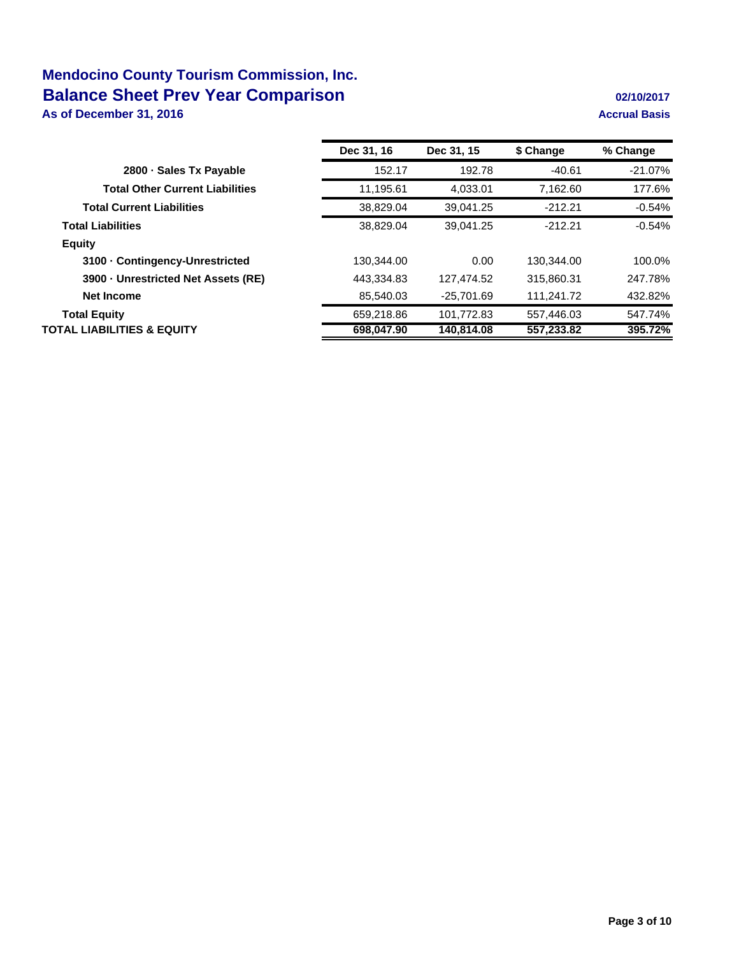## **Mendocino County Tourism Commission, Inc. Balance Sheet Prev Year Comparison 1989 12:10:2017 02/10/2017**

**As of December 31, 2016 Accrual Basis Accrual Basis** 

|                                        | Dec 31, 16 | Dec 31, 15   | \$ Change  | % Change   |
|----------------------------------------|------------|--------------|------------|------------|
| 2800 Sales Tx Payable                  | 152.17     | 192.78       | $-40.61$   | $-21.07\%$ |
| <b>Total Other Current Liabilities</b> | 11,195.61  | 4.033.01     | 7.162.60   | 177.6%     |
| <b>Total Current Liabilities</b>       | 38,829.04  | 39.041.25    | $-212.21$  | $-0.54%$   |
| <b>Total Liabilities</b>               | 38,829.04  | 39.041.25    | $-212.21$  | $-0.54%$   |
| <b>Equity</b>                          |            |              |            |            |
| 3100 Contingency-Unrestricted          | 130.344.00 | 0.00         | 130,344.00 | 100.0%     |
| 3900 Unrestricted Net Assets (RE)      | 443.334.83 | 127.474.52   | 315.860.31 | 247.78%    |
| Net Income                             | 85,540.03  | $-25,701.69$ | 111,241.72 | 432.82%    |
| <b>Total Equity</b>                    | 659,218.86 | 101,772.83   | 557,446.03 | 547.74%    |
| TOTAL LIABILITIES & EQUITY             | 698,047.90 | 140,814.08   | 557,233.82 | 395.72%    |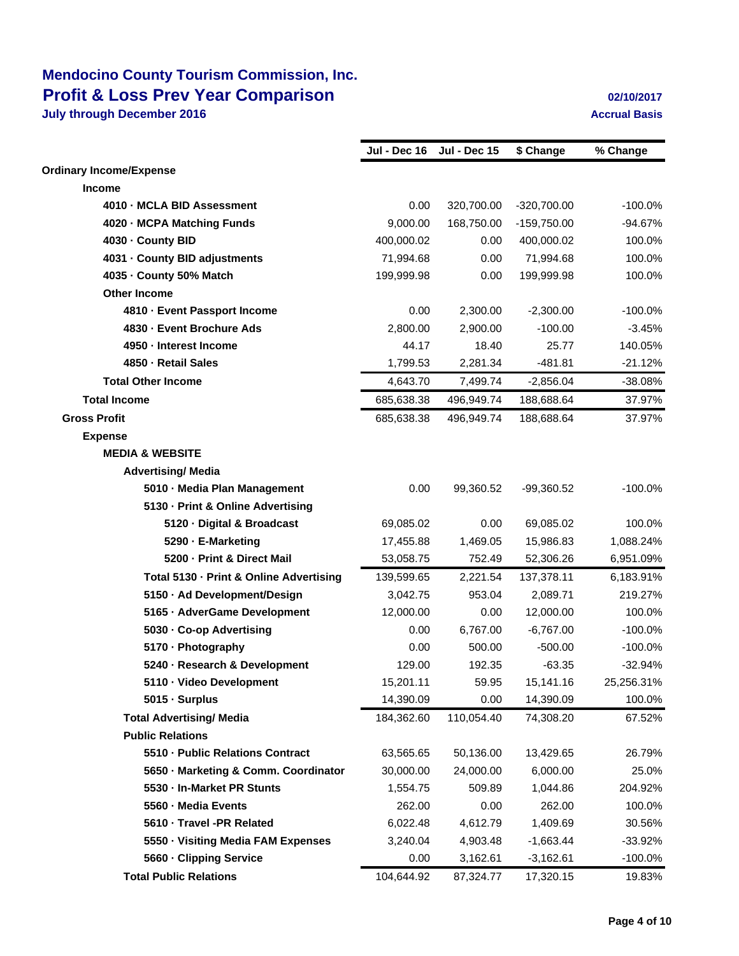|                                         | Jul - Dec 16 | <b>Jul - Dec 15</b> | \$ Change     | % Change   |
|-----------------------------------------|--------------|---------------------|---------------|------------|
| <b>Ordinary Income/Expense</b>          |              |                     |               |            |
| <b>Income</b>                           |              |                     |               |            |
| 4010 MCLA BID Assessment                | 0.00         | 320,700.00          | $-320,700.00$ | $-100.0%$  |
| 4020 MCPA Matching Funds                | 9,000.00     | 168,750.00          | $-159,750.00$ | $-94.67%$  |
| 4030 County BID                         | 400,000.02   | 0.00                | 400,000.02    | 100.0%     |
| 4031 County BID adjustments             | 71,994.68    | 0.00                | 71,994.68     | 100.0%     |
| 4035 County 50% Match                   | 199,999.98   | 0.00                | 199,999.98    | 100.0%     |
| <b>Other Income</b>                     |              |                     |               |            |
| 4810 - Event Passport Income            | 0.00         | 2,300.00            | $-2,300.00$   | $-100.0\%$ |
| 4830 - Event Brochure Ads               | 2,800.00     | 2,900.00            | $-100.00$     | $-3.45%$   |
| 4950 - Interest Income                  | 44.17        | 18.40               | 25.77         | 140.05%    |
| 4850 - Retail Sales                     | 1,799.53     | 2,281.34            | $-481.81$     | $-21.12%$  |
| <b>Total Other Income</b>               | 4,643.70     | 7,499.74            | $-2,856.04$   | $-38.08%$  |
| <b>Total Income</b>                     | 685,638.38   | 496.949.74          | 188,688.64    | 37.97%     |
| <b>Gross Profit</b>                     | 685,638.38   | 496,949.74          | 188,688.64    | 37.97%     |
| <b>Expense</b>                          |              |                     |               |            |
| <b>MEDIA &amp; WEBSITE</b>              |              |                     |               |            |
| <b>Advertising/ Media</b>               |              |                     |               |            |
| 5010 - Media Plan Management            | 0.00         | 99,360.52           | $-99,360.52$  | $-100.0\%$ |
| 5130 - Print & Online Advertising       |              |                     |               |            |
| 5120 - Digital & Broadcast              | 69,085.02    | 0.00                | 69,085.02     | 100.0%     |
| 5290 - E-Marketing                      | 17,455.88    | 1,469.05            | 15,986.83     | 1,088.24%  |
| 5200 - Print & Direct Mail              | 53,058.75    | 752.49              | 52,306.26     | 6,951.09%  |
| Total 5130 - Print & Online Advertising | 139,599.65   | 2,221.54            | 137,378.11    | 6,183.91%  |
| 5150 · Ad Development/Design            | 3,042.75     | 953.04              | 2,089.71      | 219.27%    |
| 5165 - AdverGame Development            | 12,000.00    | 0.00                | 12,000.00     | 100.0%     |
| 5030 - Co-op Advertising                | 0.00         | 6,767.00            | $-6,767.00$   | $-100.0%$  |
| 5170 - Photography                      | 0.00         | 500.00              | $-500.00$     | $-100.0%$  |
| 5240 - Research & Development           | 129.00       | 192.35              | $-63.35$      | $-32.94%$  |
| 5110 - Video Development                | 15,201.11    | 59.95               | 15,141.16     | 25,256.31% |
| 5015 - Surplus                          | 14,390.09    | 0.00                | 14,390.09     | 100.0%     |
| <b>Total Advertising/ Media</b>         | 184,362.60   | 110,054.40          | 74,308.20     | 67.52%     |
| <b>Public Relations</b>                 |              |                     |               |            |
| 5510 - Public Relations Contract        | 63,565.65    | 50,136.00           | 13,429.65     | 26.79%     |
| 5650 - Marketing & Comm. Coordinator    | 30,000.00    | 24,000.00           | 6,000.00      | 25.0%      |
| 5530 - In-Market PR Stunts              | 1,554.75     | 509.89              | 1,044.86      | 204.92%    |
| 5560 - Media Events                     | 262.00       | 0.00                | 262.00        | 100.0%     |
| 5610 - Travel -PR Related               | 6,022.48     | 4,612.79            | 1,409.69      | 30.56%     |
| 5550 - Visiting Media FAM Expenses      | 3,240.04     | 4,903.48            | $-1,663.44$   | $-33.92%$  |
| 5660 - Clipping Service                 | 0.00         | 3,162.61            | $-3,162.61$   | $-100.0\%$ |
| <b>Total Public Relations</b>           | 104,644.92   |                     | 17,320.15     | 19.83%     |
|                                         |              | 87,324.77           |               |            |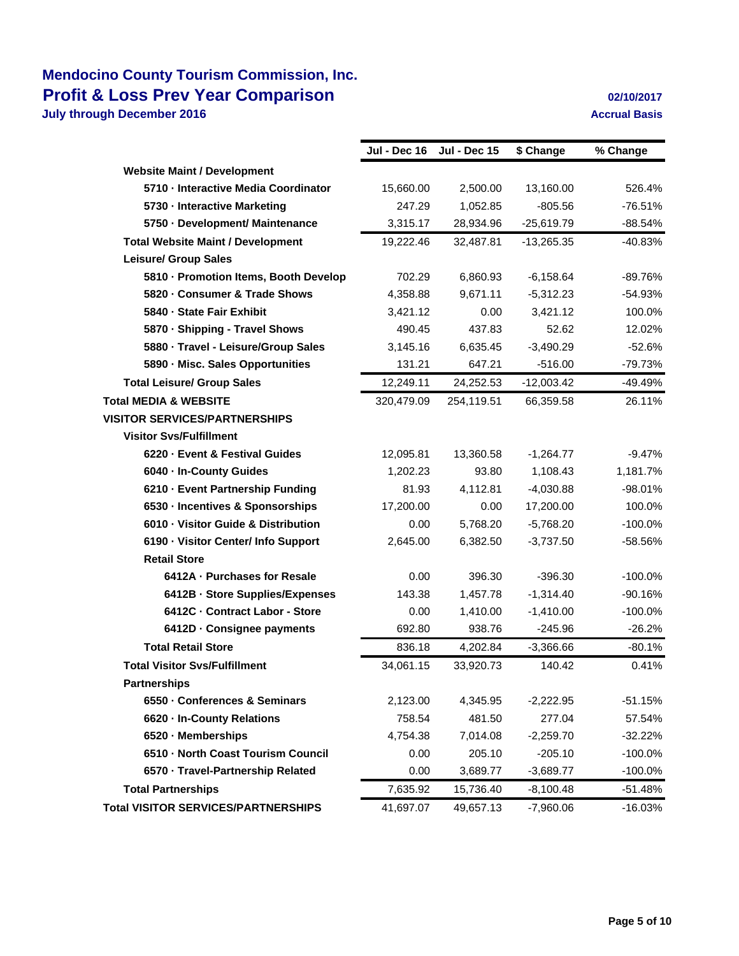|                                            | Jul - Dec 16 | <b>Jul - Dec 15</b> | \$ Change    | % Change   |
|--------------------------------------------|--------------|---------------------|--------------|------------|
| <b>Website Maint / Development</b>         |              |                     |              |            |
| 5710 - Interactive Media Coordinator       | 15,660.00    | 2,500.00            | 13,160.00    | 526.4%     |
| 5730 - Interactive Marketing               | 247.29       | 1,052.85            | $-805.56$    | $-76.51%$  |
| 5750 - Development/ Maintenance            | 3,315.17     | 28,934.96           | $-25,619.79$ | $-88.54%$  |
| <b>Total Website Maint / Development</b>   | 19,222.46    | 32,487.81           | $-13,265.35$ | $-40.83%$  |
| <b>Leisure/ Group Sales</b>                |              |                     |              |            |
| 5810 - Promotion Items, Booth Develop      | 702.29       | 6.860.93            | $-6,158.64$  | -89.76%    |
| 5820 Consumer & Trade Shows                | 4,358.88     | 9,671.11            | $-5,312.23$  | $-54.93%$  |
| 5840 - State Fair Exhibit                  | 3,421.12     | 0.00                | 3,421.12     | 100.0%     |
| 5870 - Shipping - Travel Shows             | 490.45       | 437.83              | 52.62        | 12.02%     |
| 5880 - Travel - Leisure/Group Sales        | 3,145.16     | 6,635.45            | $-3,490.29$  | $-52.6%$   |
| 5890 - Misc. Sales Opportunities           | 131.21       | 647.21              | $-516.00$    | $-79.73%$  |
| <b>Total Leisure/ Group Sales</b>          | 12,249.11    | 24,252.53           | $-12,003.42$ | -49.49%    |
| <b>Total MEDIA &amp; WEBSITE</b>           | 320,479.09   | 254,119.51          | 66,359.58    | 26.11%     |
| <b>VISITOR SERVICES/PARTNERSHIPS</b>       |              |                     |              |            |
| <b>Visitor Svs/Fulfillment</b>             |              |                     |              |            |
| 6220 Event & Festival Guides               | 12,095.81    | 13,360.58           | $-1,264.77$  | $-9.47%$   |
| 6040 - In-County Guides                    | 1,202.23     | 93.80               | 1,108.43     | 1,181.7%   |
| 6210 - Event Partnership Funding           | 81.93        | 4,112.81            | $-4,030.88$  | $-98.01%$  |
| 6530 - Incentives & Sponsorships           | 17,200.00    | 0.00                | 17,200.00    | 100.0%     |
| 6010 - Visitor Guide & Distribution        | 0.00         | 5,768.20            | $-5,768.20$  | $-100.0%$  |
| 6190 - Visitor Center/ Info Support        | 2,645.00     | 6,382.50            | $-3,737.50$  | -58.56%    |
| <b>Retail Store</b>                        |              |                     |              |            |
| 6412A - Purchases for Resale               | 0.00         | 396.30              | $-396.30$    | $-100.0\%$ |
| 6412B - Store Supplies/Expenses            | 143.38       | 1,457.78            | $-1,314.40$  | $-90.16%$  |
| 6412C - Contract Labor - Store             | 0.00         | 1,410.00            | $-1,410.00$  | $-100.0%$  |
| 6412D - Consignee payments                 | 692.80       | 938.76              | $-245.96$    | $-26.2%$   |
| <b>Total Retail Store</b>                  | 836.18       | 4,202.84            | $-3,366.66$  | $-80.1%$   |
| <b>Total Visitor Sys/Fulfillment</b>       | 34,061.15    | 33,920.73           | 140.42       | 0.41%      |
| <b>Partnerships</b>                        |              |                     |              |            |
| 6550 - Conferences & Seminars              | 2,123.00     | 4,345.95            | $-2,222.95$  | $-51.15%$  |
| 6620 - In-County Relations                 | 758.54       | 481.50              | 277.04       | 57.54%     |
| 6520 - Memberships                         | 4,754.38     | 7,014.08            | $-2,259.70$  | $-32.22%$  |
| 6510 - North Coast Tourism Council         | 0.00         | 205.10              | $-205.10$    | $-100.0\%$ |
| 6570 - Travel-Partnership Related          | 0.00         | 3,689.77            | $-3,689.77$  | $-100.0\%$ |
| <b>Total Partnerships</b>                  | 7,635.92     | 15,736.40           | $-8,100.48$  | $-51.48%$  |
| <b>Total VISITOR SERVICES/PARTNERSHIPS</b> | 41,697.07    | 49,657.13           | $-7,960.06$  | $-16.03%$  |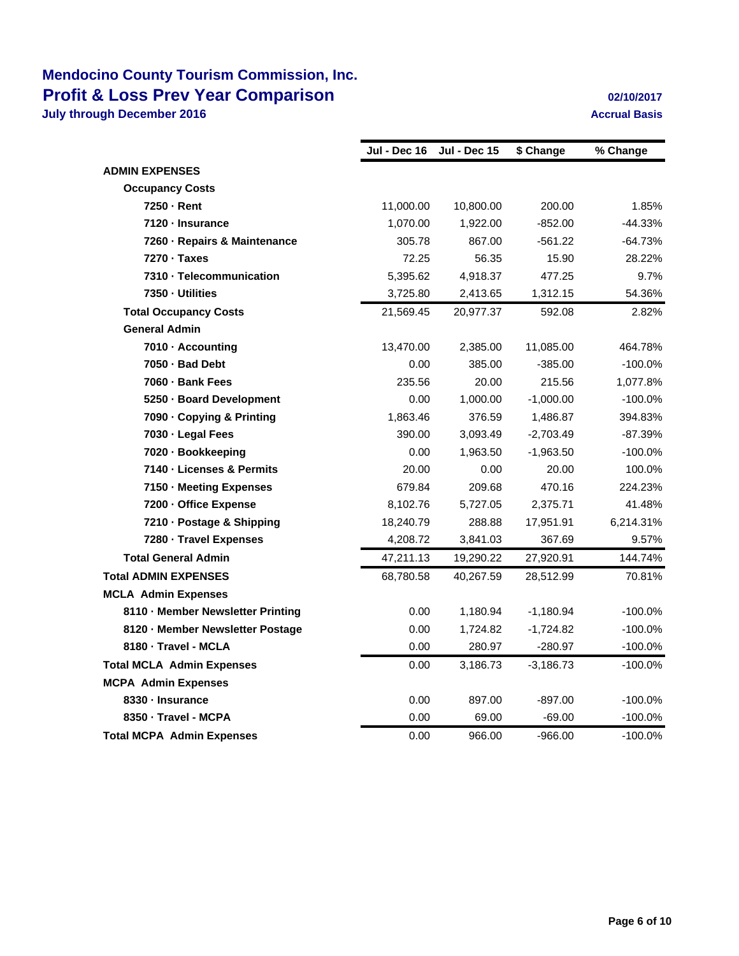|                                   | Jul - Dec 16 | <b>Jul - Dec 15</b> | \$ Change   | % Change   |
|-----------------------------------|--------------|---------------------|-------------|------------|
| <b>ADMIN EXPENSES</b>             |              |                     |             |            |
| <b>Occupancy Costs</b>            |              |                     |             |            |
| 7250 - Rent                       | 11,000.00    | 10,800.00           | 200.00      | 1.85%      |
| 7120 - Insurance                  | 1,070.00     | 1,922.00            | $-852.00$   | $-44.33%$  |
| 7260 - Repairs & Maintenance      | 305.78       | 867.00              | $-561.22$   | $-64.73%$  |
| 7270 · Taxes                      | 72.25        | 56.35               | 15.90       | 28.22%     |
| 7310 - Telecommunication          | 5,395.62     | 4,918.37            | 477.25      | 9.7%       |
| 7350 - Utilities                  | 3,725.80     | 2,413.65            | 1,312.15    | 54.36%     |
| <b>Total Occupancy Costs</b>      | 21,569.45    | 20,977.37           | 592.08      | 2.82%      |
| <b>General Admin</b>              |              |                     |             |            |
| 7010 - Accounting                 | 13,470.00    | 2,385.00            | 11,085.00   | 464.78%    |
| 7050 - Bad Debt                   | 0.00         | 385.00              | $-385.00$   | $-100.0%$  |
| 7060 - Bank Fees                  | 235.56       | 20.00               | 215.56      | 1,077.8%   |
| 5250 - Board Development          | 0.00         | 1,000.00            | $-1,000.00$ | $-100.0%$  |
| 7090 - Copying & Printing         | 1,863.46     | 376.59              | 1,486.87    | 394.83%    |
| 7030 - Legal Fees                 | 390.00       | 3,093.49            | $-2,703.49$ | $-87.39%$  |
| 7020 - Bookkeeping                | 0.00         | 1,963.50            | $-1,963.50$ | $-100.0\%$ |
| 7140 - Licenses & Permits         | 20.00        | 0.00                | 20.00       | 100.0%     |
| 7150 - Meeting Expenses           | 679.84       | 209.68              | 470.16      | 224.23%    |
| 7200 - Office Expense             | 8,102.76     | 5,727.05            | 2,375.71    | 41.48%     |
| 7210 - Postage & Shipping         | 18,240.79    | 288.88              | 17,951.91   | 6,214.31%  |
| 7280 - Travel Expenses            | 4,208.72     | 3,841.03            | 367.69      | 9.57%      |
| <b>Total General Admin</b>        | 47,211.13    | 19,290.22           | 27,920.91   | 144.74%    |
| <b>Total ADMIN EXPENSES</b>       | 68,780.58    | 40.267.59           | 28,512.99   | 70.81%     |
| <b>MCLA Admin Expenses</b>        |              |                     |             |            |
| 8110 - Member Newsletter Printing | 0.00         | 1,180.94            | $-1,180.94$ | $-100.0%$  |
| 8120 - Member Newsletter Postage  | 0.00         | 1,724.82            | $-1,724.82$ | $-100.0%$  |
| 8180 - Travel - MCLA              | 0.00         | 280.97              | $-280.97$   | $-100.0%$  |
| <b>Total MCLA Admin Expenses</b>  | 0.00         | 3,186.73            | $-3,186.73$ | $-100.0\%$ |
| <b>MCPA Admin Expenses</b>        |              |                     |             |            |
| 8330 - Insurance                  | 0.00         | 897.00              | $-897.00$   | $-100.0\%$ |
| 8350 - Travel - MCPA              | 0.00         | 69.00               | $-69.00$    | $-100.0%$  |
| <b>Total MCPA Admin Expenses</b>  | 0.00         | 966.00              | $-966.00$   | $-100.0%$  |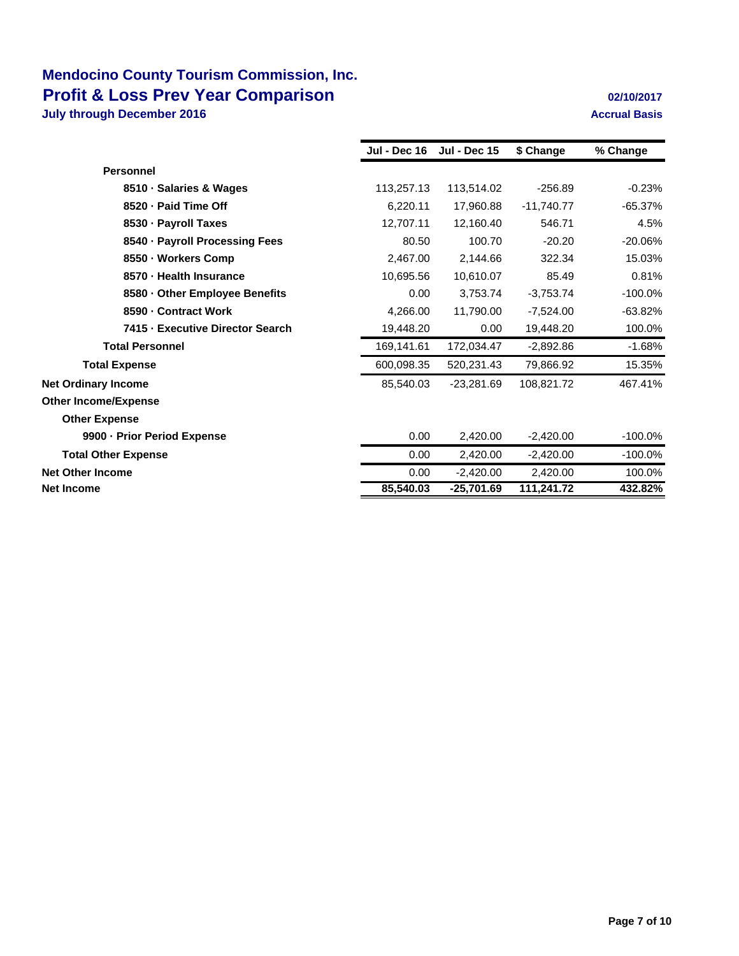|                                  | Jul - Dec 16 | <b>Jul - Dec 15</b> | \$ Change    | % Change   |
|----------------------------------|--------------|---------------------|--------------|------------|
| <b>Personnel</b>                 |              |                     |              |            |
| 8510 · Salaries & Wages          | 113,257.13   | 113,514.02          | $-256.89$    | $-0.23%$   |
| 8520 - Paid Time Off             | 6,220.11     | 17,960.88           | $-11,740.77$ | $-65.37%$  |
| 8530 - Payroll Taxes             | 12.707.11    | 12,160.40           | 546.71       | 4.5%       |
| 8540 - Payroll Processing Fees   | 80.50        | 100.70              | $-20.20$     | $-20.06%$  |
| 8550 · Workers Comp              | 2,467.00     | 2,144.66            | 322.34       | 15.03%     |
| 8570 - Health Insurance          | 10,695.56    | 10,610.07           | 85.49        | 0.81%      |
| 8580 - Other Employee Benefits   | 0.00         | 3,753.74            | $-3,753.74$  | $-100.0%$  |
| 8590 - Contract Work             | 4,266.00     | 11,790.00           | $-7,524.00$  | $-63.82%$  |
| 7415 - Executive Director Search | 19.448.20    | 0.00                | 19,448.20    | 100.0%     |
| <b>Total Personnel</b>           | 169,141.61   | 172,034.47          | $-2,892.86$  | $-1.68%$   |
| <b>Total Expense</b>             | 600,098.35   | 520,231.43          | 79,866.92    | 15.35%     |
| <b>Net Ordinary Income</b>       | 85,540.03    | $-23,281.69$        | 108,821.72   | 467.41%    |
| <b>Other Income/Expense</b>      |              |                     |              |            |
| <b>Other Expense</b>             |              |                     |              |            |
| 9900 - Prior Period Expense      | 0.00         | 2,420.00            | $-2,420.00$  | $-100.0\%$ |
| <b>Total Other Expense</b>       | 0.00         | 2,420.00            | $-2,420.00$  | $-100.0%$  |
| <b>Net Other Income</b>          | 0.00         | $-2,420.00$         | 2,420.00     | 100.0%     |
| <b>Net Income</b>                | 85,540.03    | $-25,701.69$        | 111,241.72   | 432.82%    |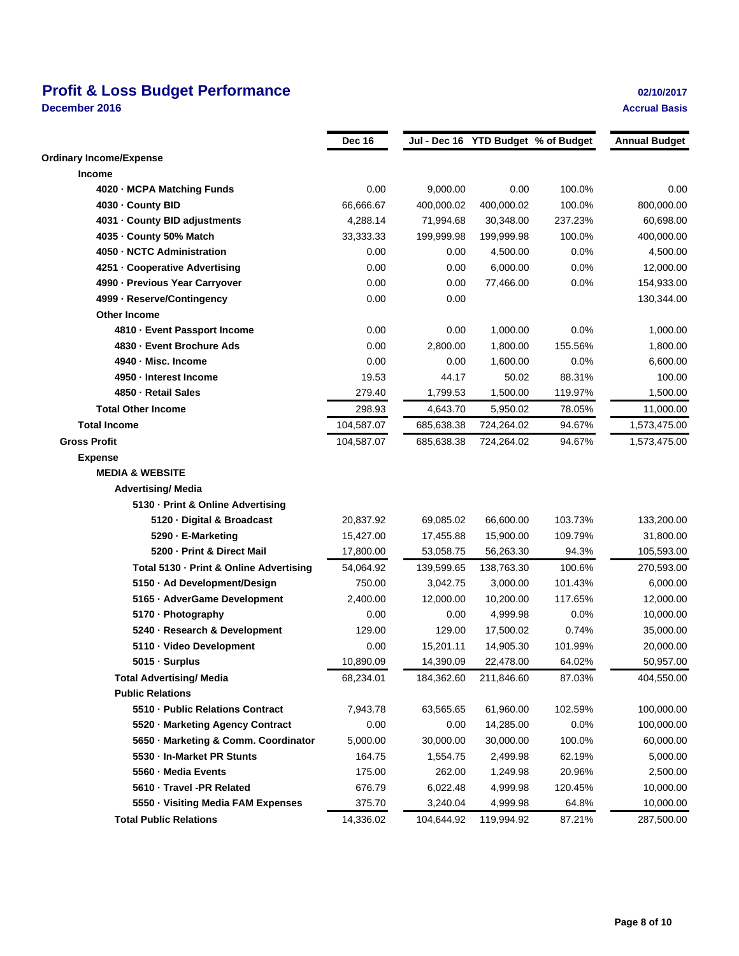# **Profit & Loss Budget Performance 02/10/2017**

**December 2016 Accrual Basis**

|                                         | <b>Dec 16</b> |            |            | Jul - Dec 16 YTD Budget % of Budget | <b>Annual Budget</b> |
|-----------------------------------------|---------------|------------|------------|-------------------------------------|----------------------|
| <b>Ordinary Income/Expense</b>          |               |            |            |                                     |                      |
| <b>Income</b>                           |               |            |            |                                     |                      |
| 4020 · MCPA Matching Funds              | 0.00          | 9,000.00   | 0.00       | 100.0%                              | 0.00                 |
| 4030 - County BID                       | 66,666.67     | 400.000.02 | 400,000.02 | 100.0%                              | 800,000.00           |
| 4031 - County BID adjustments           | 4,288.14      | 71,994.68  | 30,348.00  | 237.23%                             | 60,698.00            |
| 4035 - County 50% Match                 | 33,333.33     | 199,999.98 | 199,999.98 | 100.0%                              | 400,000.00           |
| 4050 - NCTC Administration              | 0.00          | 0.00       | 4,500.00   | 0.0%                                | 4,500.00             |
| 4251 - Cooperative Advertising          | 0.00          | 0.00       | 6,000.00   | 0.0%                                | 12,000.00            |
| 4990 - Previous Year Carryover          | 0.00          | 0.00       | 77,466.00  | 0.0%                                | 154,933.00           |
| 4999 - Reserve/Contingency              | 0.00          | 0.00       |            |                                     | 130,344.00           |
| <b>Other Income</b>                     |               |            |            |                                     |                      |
| 4810 · Event Passport Income            | 0.00          | 0.00       | 1,000.00   | 0.0%                                | 1,000.00             |
| 4830 - Event Brochure Ads               | 0.00          | 2,800.00   | 1,800.00   | 155.56%                             | 1,800.00             |
| 4940 · Misc. Income                     | 0.00          | 0.00       | 1,600.00   | 0.0%                                | 6,600.00             |
| 4950 - Interest Income                  | 19.53         | 44.17      | 50.02      | 88.31%                              | 100.00               |
| 4850 · Retail Sales                     | 279.40        | 1,799.53   | 1,500.00   | 119.97%                             | 1,500.00             |
| <b>Total Other Income</b>               | 298.93        | 4,643.70   | 5,950.02   | 78.05%                              | 11,000.00            |
| <b>Total Income</b>                     | 104,587.07    | 685,638.38 | 724,264.02 | 94.67%                              | 1,573,475.00         |
| <b>Gross Profit</b>                     | 104,587.07    | 685,638.38 | 724,264.02 | 94.67%                              | 1,573,475.00         |
| <b>Expense</b>                          |               |            |            |                                     |                      |
| <b>MEDIA &amp; WEBSITE</b>              |               |            |            |                                     |                      |
| <b>Advertising/ Media</b>               |               |            |            |                                     |                      |
| 5130 - Print & Online Advertising       |               |            |            |                                     |                      |
| 5120 · Digital & Broadcast              | 20,837.92     | 69,085.02  | 66,600.00  | 103.73%                             | 133,200.00           |
| 5290 · E-Marketing                      | 15,427.00     | 17,455.88  | 15,900.00  | 109.79%                             | 31,800.00            |
| 5200 - Print & Direct Mail              | 17,800.00     | 53,058.75  | 56,263.30  | 94.3%                               | 105,593.00           |
| Total 5130 - Print & Online Advertising | 54,064.92     | 139,599.65 | 138,763.30 | 100.6%                              | 270,593.00           |
| 5150 · Ad Development/Design            | 750.00        | 3,042.75   | 3,000.00   | 101.43%                             | 6,000.00             |
| 5165 · AdverGame Development            | 2,400.00      | 12,000.00  | 10,200.00  | 117.65%                             | 12,000.00            |
| 5170 · Photography                      | 0.00          | 0.00       | 4,999.98   | 0.0%                                | 10,000.00            |
| 5240 · Research & Development           | 129.00        | 129.00     | 17,500.02  | 0.74%                               | 35,000.00            |
| 5110 · Video Development                | 0.00          | 15,201.11  | 14,905.30  | 101.99%                             | 20,000.00            |
| 5015 · Surplus                          | 10,890.09     | 14,390.09  | 22,478.00  | 64.02%                              | 50,957.00            |
| <b>Total Advertising/ Media</b>         | 68,234.01     | 184,362.60 | 211,846.60 | 87.03%                              | 404,550.00           |
| <b>Public Relations</b>                 |               |            |            |                                     |                      |
| 5510 - Public Relations Contract        | 7,943.78      | 63,565.65  | 61,960.00  | 102.59%                             | 100,000.00           |
| 5520 · Marketing Agency Contract        | 0.00          | 0.00       | 14,285.00  | 0.0%                                | 100,000.00           |
| 5650 · Marketing & Comm. Coordinator    | 5,000.00      | 30,000.00  | 30,000.00  | 100.0%                              | 60,000.00            |
| 5530 - In-Market PR Stunts              | 164.75        | 1,554.75   | 2,499.98   | 62.19%                              | 5,000.00             |
| 5560 - Media Events                     | 175.00        | 262.00     | 1,249.98   | 20.96%                              | 2,500.00             |
| 5610 · Travel -PR Related               | 676.79        | 6,022.48   | 4,999.98   | 120.45%                             | 10,000.00            |
| 5550 · Visiting Media FAM Expenses      | 375.70        | 3,240.04   | 4,999.98   | 64.8%                               | 10,000.00            |
| <b>Total Public Relations</b>           | 14,336.02     | 104,644.92 | 119,994.92 | 87.21%                              | 287,500.00           |
|                                         |               |            |            |                                     |                      |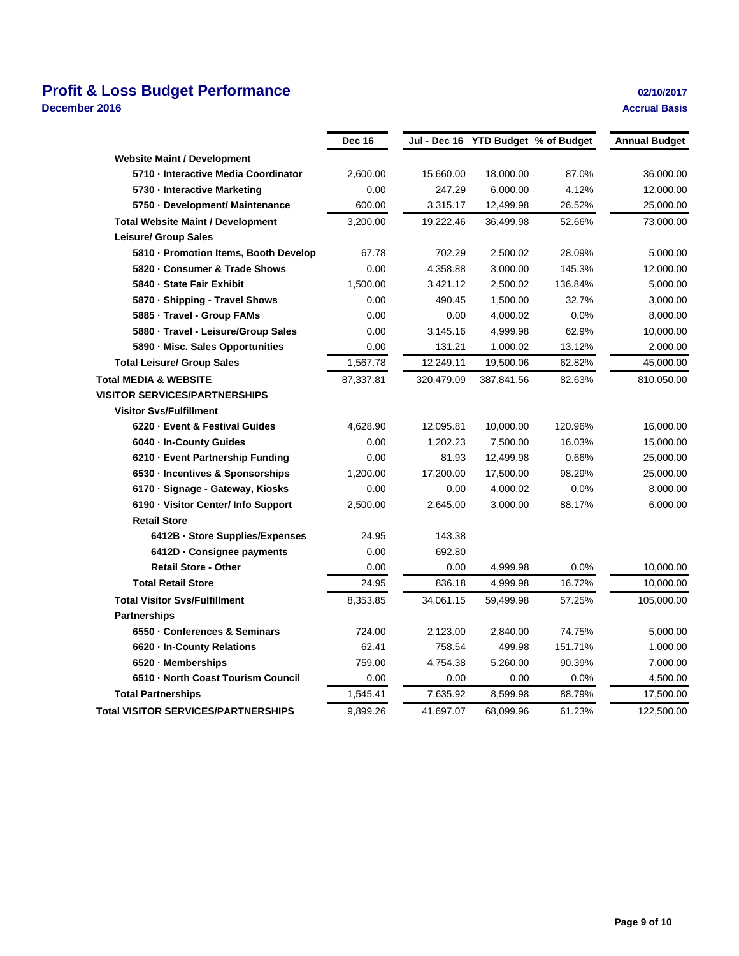# **Profit & Loss Budget Performance 02/10/2017**

**December 2016 Accrual Basis**

|                                            | Dec 16    |            |            | Jul - Dec 16 YTD Budget % of Budget | <b>Annual Budget</b> |
|--------------------------------------------|-----------|------------|------------|-------------------------------------|----------------------|
| <b>Website Maint / Development</b>         |           |            |            |                                     |                      |
| 5710 - Interactive Media Coordinator       | 2,600.00  | 15,660.00  | 18,000.00  | 87.0%                               | 36,000.00            |
| 5730 - Interactive Marketing               | 0.00      | 247.29     | 6,000.00   | 4.12%                               | 12,000.00            |
| 5750 · Development/ Maintenance            | 600.00    | 3,315.17   | 12,499.98  | 26.52%                              | 25,000.00            |
| <b>Total Website Maint / Development</b>   | 3,200.00  | 19.222.46  | 36,499.98  | 52.66%                              | 73,000.00            |
| <b>Leisure/ Group Sales</b>                |           |            |            |                                     |                      |
| 5810 - Promotion Items, Booth Develop      | 67.78     | 702.29     | 2,500.02   | 28.09%                              | 5,000.00             |
| 5820 · Consumer & Trade Shows              | 0.00      | 4,358.88   | 3,000.00   | 145.3%                              | 12,000.00            |
| 5840 - State Fair Exhibit                  | 1,500.00  | 3,421.12   | 2,500.02   | 136.84%                             | 5,000.00             |
| 5870 · Shipping - Travel Shows             | 0.00      | 490.45     | 1,500.00   | 32.7%                               | 3,000.00             |
| 5885 - Travel - Group FAMs                 | 0.00      | 0.00       | 4,000.02   | 0.0%                                | 8,000.00             |
| 5880 · Travel - Leisure/Group Sales        | 0.00      | 3,145.16   | 4,999.98   | 62.9%                               | 10,000.00            |
| 5890 - Misc. Sales Opportunities           | 0.00      | 131.21     | 1,000.02   | 13.12%                              | 2,000.00             |
| <b>Total Leisure/ Group Sales</b>          | 1,567.78  | 12,249.11  | 19,500.06  | 62.82%                              | 45,000.00            |
| <b>Total MEDIA &amp; WEBSITE</b>           | 87,337.81 | 320,479.09 | 387,841.56 | 82.63%                              | 810,050.00           |
| <b>VISITOR SERVICES/PARTNERSHIPS</b>       |           |            |            |                                     |                      |
| <b>Visitor Svs/Fulfillment</b>             |           |            |            |                                     |                      |
| 6220 · Event & Festival Guides             | 4,628.90  | 12,095.81  | 10,000.00  | 120.96%                             | 16,000.00            |
| 6040 - In-County Guides                    | 0.00      | 1,202.23   | 7,500.00   | 16.03%                              | 15,000.00            |
| 6210 - Event Partnership Funding           | 0.00      | 81.93      | 12,499.98  | 0.66%                               | 25,000.00            |
| 6530 - Incentives & Sponsorships           | 1,200.00  | 17,200.00  | 17,500.00  | 98.29%                              | 25,000.00            |
| 6170 · Signage - Gateway, Kiosks           | 0.00      | 0.00       | 4,000.02   | 0.0%                                | 8,000.00             |
| 6190 · Visitor Center/ Info Support        | 2,500.00  | 2,645.00   | 3,000.00   | 88.17%                              | 6,000.00             |
| <b>Retail Store</b>                        |           |            |            |                                     |                      |
| 6412B · Store Supplies/Expenses            | 24.95     | 143.38     |            |                                     |                      |
| 6412D · Consignee payments                 | 0.00      | 692.80     |            |                                     |                      |
| <b>Retail Store - Other</b>                | 0.00      | 0.00       | 4,999.98   | 0.0%                                | 10,000.00            |
| <b>Total Retail Store</b>                  | 24.95     | 836.18     | 4,999.98   | 16.72%                              | 10,000.00            |
| <b>Total Visitor Svs/Fulfillment</b>       | 8,353.85  | 34,061.15  | 59,499.98  | 57.25%                              | 105,000.00           |
| <b>Partnerships</b>                        |           |            |            |                                     |                      |
| 6550 · Conferences & Seminars              | 724.00    | 2,123.00   | 2,840.00   | 74.75%                              | 5,000.00             |
| 6620 - In-County Relations                 | 62.41     | 758.54     | 499.98     | 151.71%                             | 1,000.00             |
| 6520 - Memberships                         | 759.00    | 4,754.38   | 5,260.00   | 90.39%                              | 7,000.00             |
| 6510 - North Coast Tourism Council         | 0.00      | 0.00       | 0.00       | 0.0%                                | 4,500.00             |
| <b>Total Partnerships</b>                  | 1,545.41  | 7,635.92   | 8,599.98   | 88.79%                              | 17,500.00            |
| <b>Total VISITOR SERVICES/PARTNERSHIPS</b> | 9,899.26  | 41,697.07  | 68,099.96  | 61.23%                              | 122,500.00           |